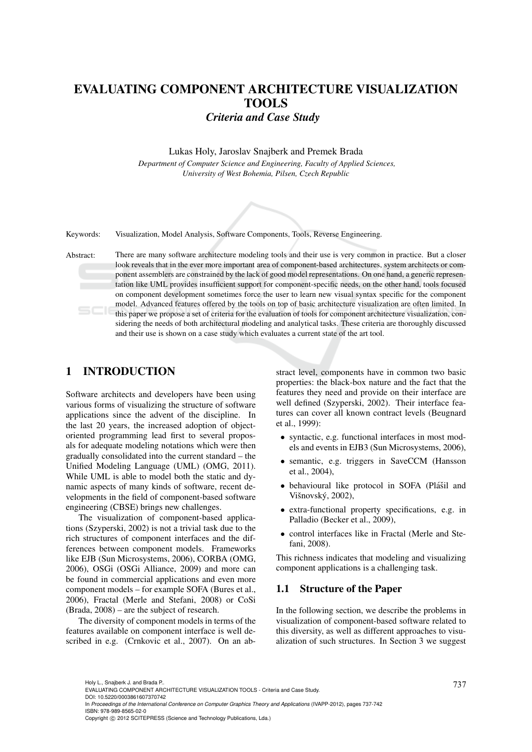# EVALUATING COMPONENT ARCHITECTURE VISUALIZATION TOOLS *Criteria and Case Study*

#### Lukas Holy, Jaroslav Snajberk and Premek Brada

*Department of Computer Science and Engineering, Faculty of Applied Sciences, University of West Bohemia, Pilsen, Czech Republic*



Keywords: Visualization, Model Analysis, Software Components, Tools, Reverse Engineering.

Abstract: There are many software architecture modeling tools and their use is very common in practice. But a closer look reveals that in the ever more important area of component-based architectures, system architects or component assemblers are constrained by the lack of good model representations. On one hand, a generic representation like UML provides insufficient support for component-specific needs, on the other hand, tools focused on component development sometimes force the user to learn new visual syntax specific for the component model. Advanced features offered by the tools on top of basic architecture visualization are often limited. In this paper we propose a set of criteria for the evaluation of tools for component architecture visualization, considering the needs of both architectural modeling and analytical tasks. These criteria are thoroughly discussed and their use is shown on a case study which evaluates a current state of the art tool.

# 1 INTRODUCTION

Software architects and developers have been using various forms of visualizing the structure of software applications since the advent of the discipline. In the last 20 years, the increased adoption of objectoriented programming lead first to several proposals for adequate modeling notations which were then gradually consolidated into the current standard – the Unified Modeling Language (UML) (OMG, 2011). While UML is able to model both the static and dynamic aspects of many kinds of software, recent developments in the field of component-based software engineering (CBSE) brings new challenges.

The visualization of component-based applications (Szyperski, 2002) is not a trivial task due to the rich structures of component interfaces and the differences between component models. Frameworks like EJB (Sun Microsystems, 2006), CORBA (OMG, 2006), OSGi (OSGi Alliance, 2009) and more can be found in commercial applications and even more component models – for example SOFA (Bures et al., 2006), Fractal (Merle and Stefani, 2008) or CoSi (Brada, 2008) – are the subject of research.

The diversity of component models in terms of the features available on component interface is well described in e.g. (Crnkovic et al., 2007). On an ab-

stract level, components have in common two basic properties: the black-box nature and the fact that the features they need and provide on their interface are well defined (Szyperski, 2002). Their interface features can cover all known contract levels (Beugnard et al., 1999):

- syntactic, e.g. functional interfaces in most models and events in EJB3 (Sun Microsystems, 2006),
- semantic, e.g. triggers in SaveCCM (Hansson et al., 2004),
- behavioural like protocol in SOFA (Plášil and Višnovský, 2002),
- extra-functional property specifications, e.g. in Palladio (Becker et al., 2009),
- control interfaces like in Fractal (Merle and Stefani, 2008).

This richness indicates that modeling and visualizing component applications is a challenging task.

#### 1.1 Structure of the Paper

In the following section, we describe the problems in visualization of component-based software related to this diversity, as well as different approaches to visualization of such structures. In Section 3 we suggest

Copyright © 2012 SCITEPRESS (Science and Technology Publications, Lda.)

<sup>737</sup> Holy L., Snajberk J. and Brada P.. EVALUATING COMPONENT ARCHITECTURE VISUALIZATION TOOLS - Criteria and Case Study.

DOI: 10.5220/0003861607370742

In *Proceedings of the International Conference on Computer Graphics Theory and Applications* (IVAPP-2012), pages 737-742 ISBN: 978-989-8565-02-0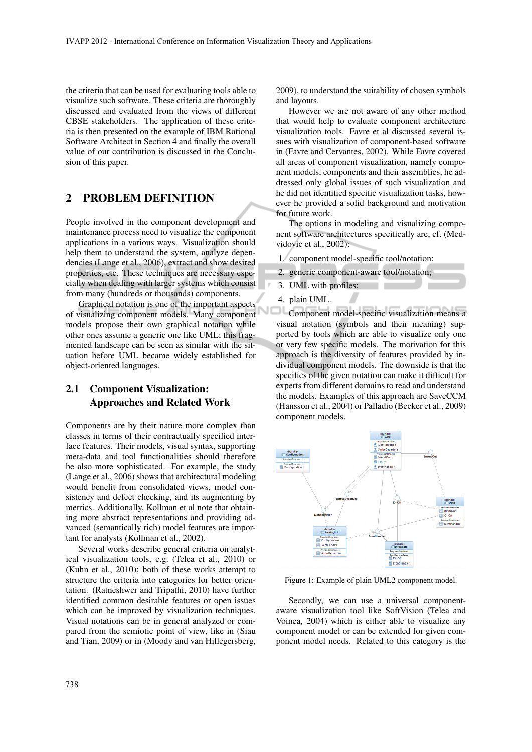the criteria that can be used for evaluating tools able to visualize such software. These criteria are thoroughly discussed and evaluated from the views of different CBSE stakeholders. The application of these criteria is then presented on the example of IBM Rational Software Architect in Section 4 and finally the overall value of our contribution is discussed in the Conclusion of this paper.

## 2 PROBLEM DEFINITION

People involved in the component development and maintenance process need to visualize the component applications in a various ways. Visualization should help them to understand the system, analyze dependencies (Lange et al., 2006), extract and show desired properties, etc. These techniques are necessary especially when dealing with larger systems which consist from many (hundreds or thousands) components.

Graphical notation is one of the important aspects of visualizing component models. Many component models propose their own graphical notation while other ones assume a generic one like UML; this fragmented landscape can be seen as similar with the situation before UML became widely established for object-oriented languages.

# 2.1 Component Visualization: Approaches and Related Work

Components are by their nature more complex than classes in terms of their contractually specified interface features. Their models, visual syntax, supporting meta-data and tool functionalities should therefore be also more sophisticated. For example, the study (Lange et al., 2006) shows that architectural modeling would benefit from consolidated views, model consistency and defect checking, and its augmenting by metrics. Additionally, Kollman et al note that obtaining more abstract representations and providing advanced (semantically rich) model features are important for analysts (Kollman et al., 2002).

Several works describe general criteria on analytical visualization tools, e.g. (Telea et al., 2010) or (Kuhn et al., 2010); both of these works attempt to structure the criteria into categories for better orientation. (Ratneshwer and Tripathi, 2010) have further identified common desirable features or open issues which can be improved by visualization techniques. Visual notations can be in general analyzed or compared from the semiotic point of view, like in (Siau and Tian, 2009) or in (Moody and van Hillegersberg,

2009), to understand the suitability of chosen symbols and layouts.

However we are not aware of any other method that would help to evaluate component architecture visualization tools. Favre et al discussed several issues with visualization of component-based software in (Favre and Cervantes, 2002). While Favre covered all areas of component visualization, namely component models, components and their assemblies, he addressed only global issues of such visualization and he did not identified specific visualization tasks, however he provided a solid background and motivation for future work.

The options in modeling and visualizing component software architectures specifically are, cf. (Medvidovic et al., 2002):

1. component model-specific tool/notation;

- 2. generic component-aware tool/notation;
- 3. UML with profiles;
- 4. plain UML.

Component model-specific visualization means a visual notation (symbols and their meaning) supported by tools which are able to visualize only one or very few specific models. The motivation for this approach is the diversity of features provided by individual component models. The downside is that the specifics of the given notation can make it difficult for experts from different domains to read and understand the models. Examples of this approach are SaveCCM (Hansson et al., 2004) or Palladio (Becker et al., 2009) component models.



Figure 1: Example of plain UML2 component model.

Secondly, we can use a universal componentaware visualization tool like SoftVision (Telea and Voinea, 2004) which is either able to visualize any component model or can be extended for given component model needs. Related to this category is the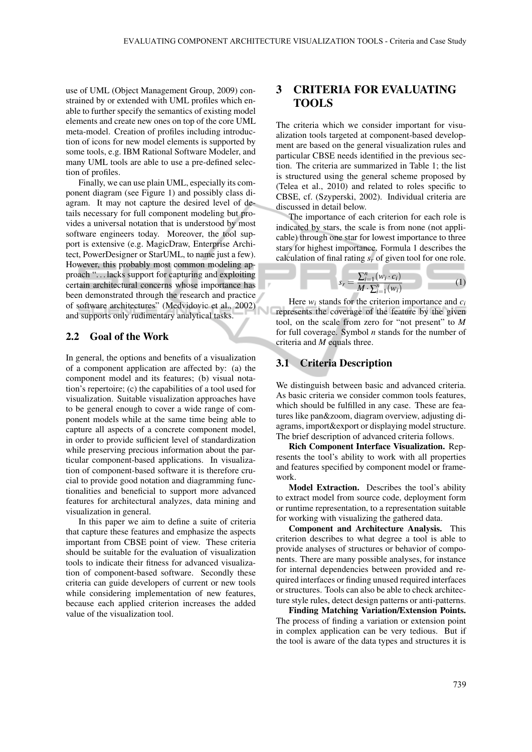use of UML (Object Management Group, 2009) constrained by or extended with UML profiles which enable to further specify the semantics of existing model elements and create new ones on top of the core UML meta-model. Creation of profiles including introduction of icons for new model elements is supported by some tools, e.g. IBM Rational Software Modeler, and many UML tools are able to use a pre-defined selection of profiles.

Finally, we can use plain UML, especially its component diagram (see Figure 1) and possibly class diagram. It may not capture the desired level of details necessary for full component modeling but provides a universal notation that is understood by most software engineers today. Moreover, the tool support is extensive (e.g. MagicDraw, Enterprise Architect, PowerDesigner or StarUML, to name just a few). However, this probably most common modeling approach ". . . lacks support for capturing and exploiting certain architectural concerns whose importance has been demonstrated through the research and practice of software architectures" (Medvidovic et al., 2002) and supports only rudimentary analytical tasks.

#### 2.2 Goal of the Work

In general, the options and benefits of a visualization of a component application are affected by: (a) the component model and its features; (b) visual notation's repertoire; (c) the capabilities of a tool used for visualization. Suitable visualization approaches have to be general enough to cover a wide range of component models while at the same time being able to capture all aspects of a concrete component model, in order to provide sufficient level of standardization while preserving precious information about the particular component-based applications. In visualization of component-based software it is therefore crucial to provide good notation and diagramming functionalities and beneficial to support more advanced features for architectural analyzes, data mining and visualization in general.

In this paper we aim to define a suite of criteria that capture these features and emphasize the aspects important from CBSE point of view. These criteria should be suitable for the evaluation of visualization tools to indicate their fitness for advanced visualization of component-based software. Secondly these criteria can guide developers of current or new tools while considering implementation of new features, because each applied criterion increases the added value of the visualization tool.

# 3 CRITERIA FOR EVALUATING TOOLS

The criteria which we consider important for visualization tools targeted at component-based development are based on the general visualization rules and particular CBSE needs identified in the previous section. The criteria are summarized in Table 1; the list is structured using the general scheme proposed by (Telea et al., 2010) and related to roles specific to CBSE, cf. (Szyperski, 2002). Individual criteria are discussed in detail below.

The importance of each criterion for each role is indicated by stars, the scale is from none (not applicable) through one star for lowest importance to three stars for highest importance. Formula 1 describes the calculation of final rating *s<sup>r</sup>* of given tool for one role.

$$
s_r = \frac{\sum_{i=1}^{n} (w_i \cdot c_i)}{M \cdot \sum_{i=1}^{n} (w_i)} \tag{1}
$$

Here  $w_i$  stands for the criterion importance and  $c_i$ represents the coverage of the feature by the given tool, on the scale from zero for "not present" to *M* for full coverage. Symbol *n* stands for the number of criteria and *M* equals three.

## 3.1 Criteria Description

We distinguish between basic and advanced criteria. As basic criteria we consider common tools features, which should be fulfilled in any case. These are features like pan&zoom, diagram overview, adjusting diagrams, import&export or displaying model structure. The brief description of advanced criteria follows.

Rich Component Interface Visualization. Represents the tool's ability to work with all properties and features specified by component model or framework.

Model Extraction. Describes the tool's ability to extract model from source code, deployment form or runtime representation, to a representation suitable for working with visualizing the gathered data.

Component and Architecture Analysis. This criterion describes to what degree a tool is able to provide analyses of structures or behavior of components. There are many possible analyses, for instance for internal dependencies between provided and required interfaces or finding unused required interfaces or structures. Tools can also be able to check architecture style rules, detect design patterns or anti-patterns.

Finding Matching Variation/Extension Points. The process of finding a variation or extension point in complex application can be very tedious. But if the tool is aware of the data types and structures it is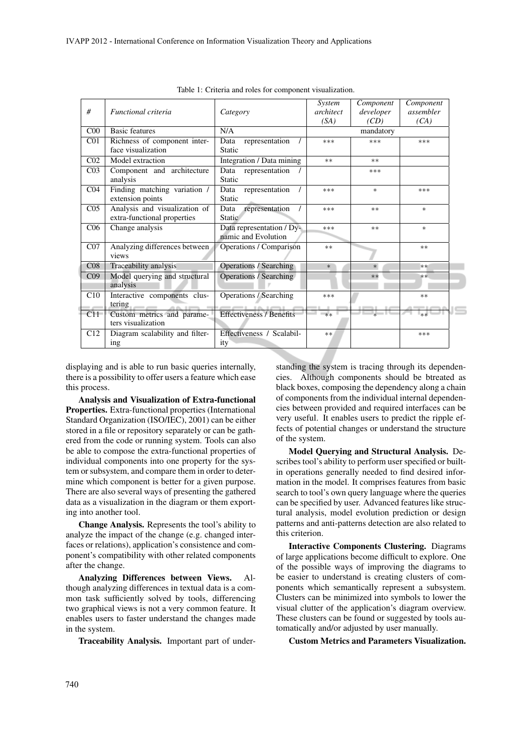| #               | Functional criteria                                          | Category                                         | System<br>architect<br>(SA) | Component<br>developer<br>(CD) | Component<br>assembler<br>(CA) |
|-----------------|--------------------------------------------------------------|--------------------------------------------------|-----------------------------|--------------------------------|--------------------------------|
| C <sub>00</sub> | <b>Basic features</b>                                        | N/A                                              | mandatory                   |                                |                                |
| C <sub>01</sub> | Richness of component inter-<br>face visualization           | representation<br>Data<br>Static                 | $***$                       | $***$                          | $***$                          |
| CO <sub>2</sub> | Model extraction                                             | Integration / Data mining                        | $**$                        | $***$                          |                                |
| CO <sub>3</sub> | Component and architecture<br>analysis                       | Data<br>representation<br>Static                 |                             | ***                            |                                |
| CO <sub>4</sub> | Finding matching variation /<br>extension points             | representation<br>Data<br>Static                 | ***                         | $\ast$                         | ***                            |
| CO <sub>5</sub> | Analysis and visualization of<br>extra-functional properties | representation<br>Data<br><b>Static</b>          | ***                         | $***$                          | $\ast$                         |
| C <sub>06</sub> | Change analysis                                              | Data representation / Dy-<br>namic and Evolution | $***$                       | $**$                           | $\ast$                         |
| CO7             | Analyzing differences between<br>views                       | Operations / Comparison                          | $**$                        |                                | $**$                           |
| CO8             | Traceability analysis                                        | <b>Operations / Searching</b>                    | $\ast$                      | $*$                            | $**$                           |
| CO <sub>9</sub> | Model querying and structural<br>analysis                    | <b>Operations / Searching</b>                    |                             | $**$                           | $**$                           |
| C10             | Interactive components clus-<br>tering<br>49.90              | <b>Operations / Searching</b>                    | $***$                       |                                | $**$                           |
| C11             | Custom metrics and parame-<br>ters visualization             | Effectiveness / Benefits                         | $**$                        |                                | $**$                           |
| C12             | Diagram scalability and filter-<br>ing                       | Effectiveness / Scalabil-<br>ity                 | $**$                        |                                | ***                            |

Table 1: Criteria and roles for component visualization.

displaying and is able to run basic queries internally, there is a possibility to offer users a feature which ease this process.

Analysis and Visualization of Extra-functional Properties. Extra-functional properties (International Standard Organization (ISO/IEC), 2001) can be either stored in a file or repository separately or can be gathered from the code or running system. Tools can also be able to compose the extra-functional properties of individual components into one property for the system or subsystem, and compare them in order to determine which component is better for a given purpose. There are also several ways of presenting the gathered data as a visualization in the diagram or them exporting into another tool.

Change Analysis. Represents the tool's ability to analyze the impact of the change (e.g. changed interfaces or relations), application's consistence and component's compatibility with other related components after the change.

Analyzing Differences between Views. Although analyzing differences in textual data is a common task sufficiently solved by tools, differencing two graphical views is not a very common feature. It enables users to faster understand the changes made in the system.

Traceability Analysis. Important part of under-

standing the system is tracing through its dependencies. Although components should be btreated as black boxes, composing the dependency along a chain of components from the individual internal dependencies between provided and required interfaces can be very useful. It enables users to predict the ripple effects of potential changes or understand the structure of the system.

Model Querying and Structural Analysis. Describes tool's ability to perform user specified or builtin operations generally needed to find desired information in the model. It comprises features from basic search to tool's own query language where the queries can be specified by user. Advanced features like structural analysis, model evolution prediction or design patterns and anti-patterns detection are also related to this criterion.

Interactive Components Clustering. Diagrams of large applications become difficult to explore. One of the possible ways of improving the diagrams to be easier to understand is creating clusters of components which semantically represent a subsystem. Clusters can be minimized into symbols to lower the visual clutter of the application's diagram overview. These clusters can be found or suggested by tools automatically and/or adjusted by user manually.

Custom Metrics and Parameters Visualization.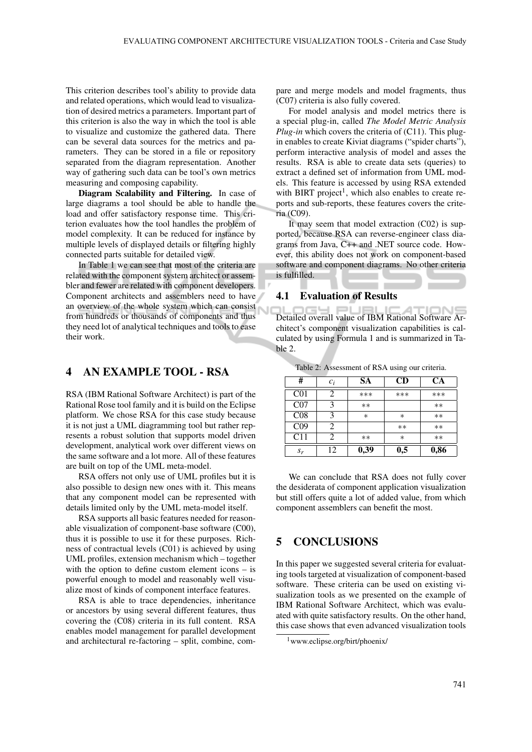This criterion describes tool's ability to provide data and related operations, which would lead to visualization of desired metrics a parameters. Important part of this criterion is also the way in which the tool is able to visualize and customize the gathered data. There can be several data sources for the metrics and parameters. They can be stored in a file or repository separated from the diagram representation. Another way of gathering such data can be tool's own metrics measuring and composing capability.

Diagram Scalability and Filtering. In case of large diagrams a tool should be able to handle the load and offer satisfactory response time. This criterion evaluates how the tool handles the problem of model complexity. It can be reduced for instance by multiple levels of displayed details or filtering highly connected parts suitable for detailed view.

In Table 1 we can see that most of the criteria are related with the component system architect or assembler and fewer are related with component developers. Component architects and assemblers need to have an overview of the whole system which can consist from hundreds or thousands of components and thus they need lot of analytical techniques and tools to ease their work.

### 4 AN EXAMPLE TOOL - RSA

RSA (IBM Rational Software Architect) is part of the Rational Rose tool family and it is build on the Eclipse platform. We chose RSA for this case study because it is not just a UML diagramming tool but rather represents a robust solution that supports model driven development, analytical work over different views on the same software and a lot more. All of these features are built on top of the UML meta-model.

RSA offers not only use of UML profiles but it is also possible to design new ones with it. This means that any component model can be represented with details limited only by the UML meta-model itself.

RSA supports all basic features needed for reasonable visualization of component-base software (C00), thus it is possible to use it for these purposes. Richness of contractual levels (C01) is achieved by using UML profiles, extension mechanism which – together with the option to define custom element icons – is powerful enough to model and reasonably well visualize most of kinds of component interface features.

RSA is able to trace dependencies, inheritance or ancestors by using several different features, thus covering the (C08) criteria in its full content. RSA enables model management for parallel development and architectural re-factoring – split, combine, compare and merge models and model fragments, thus (C07) criteria is also fully covered.

For model analysis and model metrics there is a special plug-in, called *The Model Metric Analysis Plug-in* which covers the criteria of (C11). This plugin enables to create Kiviat diagrams ("spider charts"), perform interactive analysis of model and asses the results. RSA is able to create data sets (queries) to extract a defined set of information from UML models. This feature is accessed by using RSA extended with BIRT project<sup>1</sup>, which also enables to create reports and sub-reports, these features covers the criteria (C09).

It may seem that model extraction (C02) is supported, because RSA can reverse-engineer class diagrams from Java, C++ and .NET source code. However, this ability does not work on component-based software and component diagrams. No other criteria is fulfilled.

#### 4.1 Evaluation of Results

164 PUB **IONS** Detailed overall value of IBM Rational Software Architect's component visualization capabilities is calculated by using Formula 1 and is summarized in Table 2.

| #               | $c_i$ | <b>SA</b> | CD      | CА    |
|-----------------|-------|-----------|---------|-------|
| CO <sub>1</sub> |       | ***       | ***     | ***   |
| CO7             |       | $***$     |         | $**$  |
| CO8             |       | $\ast$    | $^\ast$ | $***$ |
| CO <sub>9</sub> | 2     |           | $***$   | $***$ |
| C11             |       | $***$     | $\ast$  | $**$  |
| $S_r$           | 12    | 0,39      | 0,5     | 0,86  |

Table 2: Assessment of RSA using our criteria.

We can conclude that RSA does not fully cover the desiderata of component application visualization but still offers quite a lot of added value, from which component assemblers can benefit the most.

# 5 CONCLUSIONS

In this paper we suggested several criteria for evaluating tools targeted at visualization of component-based software. These criteria can be used on existing visualization tools as we presented on the example of IBM Rational Software Architect, which was evaluated with quite satisfactory results. On the other hand, this case shows that even advanced visualization tools

<sup>1</sup>www.eclipse.org/birt/phoenix/